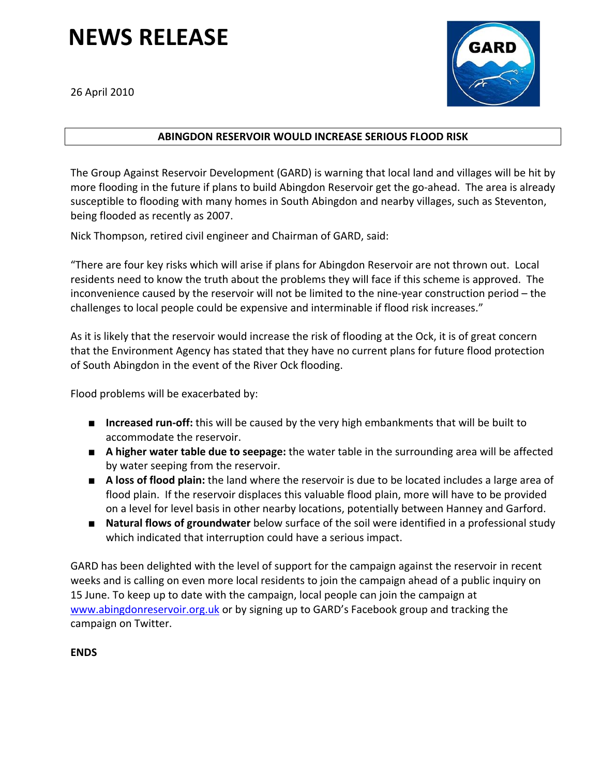## **NEWS RELEASE**

26 April 2010



## **ABINGDON RESERVOIR WOULD INCREASE SERIOUS FLOOD RISK**

The Group Against Reservoir Development (GARD) is warning that local land and villages will be hit by more flooding in the future if plans to build Abingdon Reservoir get the go-ahead. The area is already susceptible to flooding with many homes in South Abingdon and nearby villages, such as Steventon, being flooded as recently as 2007.

Nick Thompson, retired civil engineer and Chairman of GARD, said:

"There are four key risks which will arise if plans for Abingdon Reservoir are not thrown out. Local residents need to know the truth about the problems they will face if this scheme is approved. The inconvenience caused by the reservoir will not be limited to the nine‐year construction period – the challenges to local people could be expensive and interminable if flood risk increases."

As it is likely that the reservoir would increase the risk of flooding at the Ock, it is of great concern that the Environment Agency has stated that they have no current plans for future flood protection of South Abingdon in the event of the River Ock flooding.

Flood problems will be exacerbated by:

- **Increased run-off:** this will be caused by the very high embankments that will be built to accommodate the reservoir.
- **A higher water table due to seepage:** the water table in the surrounding area will be affected by water seeping from the reservoir.
- **A loss of flood plain:** the land where the reservoir is due to be located includes a large area of flood plain. If the reservoir displaces this valuable flood plain, more will have to be provided on a level for level basis in other nearby locations, potentially between Hanney and Garford.
- **Natural flows of groundwater** below surface of the soil were identified in a professional study which indicated that interruption could have a serious impact.

GARD has been delighted with the level of support for the campaign against the reservoir in recent weeks and is calling on even more local residents to join the campaign ahead of a public inquiry on 15 June. To keep up to date with the campaign, local people can join the campaign at www.abingdonreservoir.org.uk or by signing up to GARD's Facebook group and tracking the campaign on Twitter.

**ENDS**